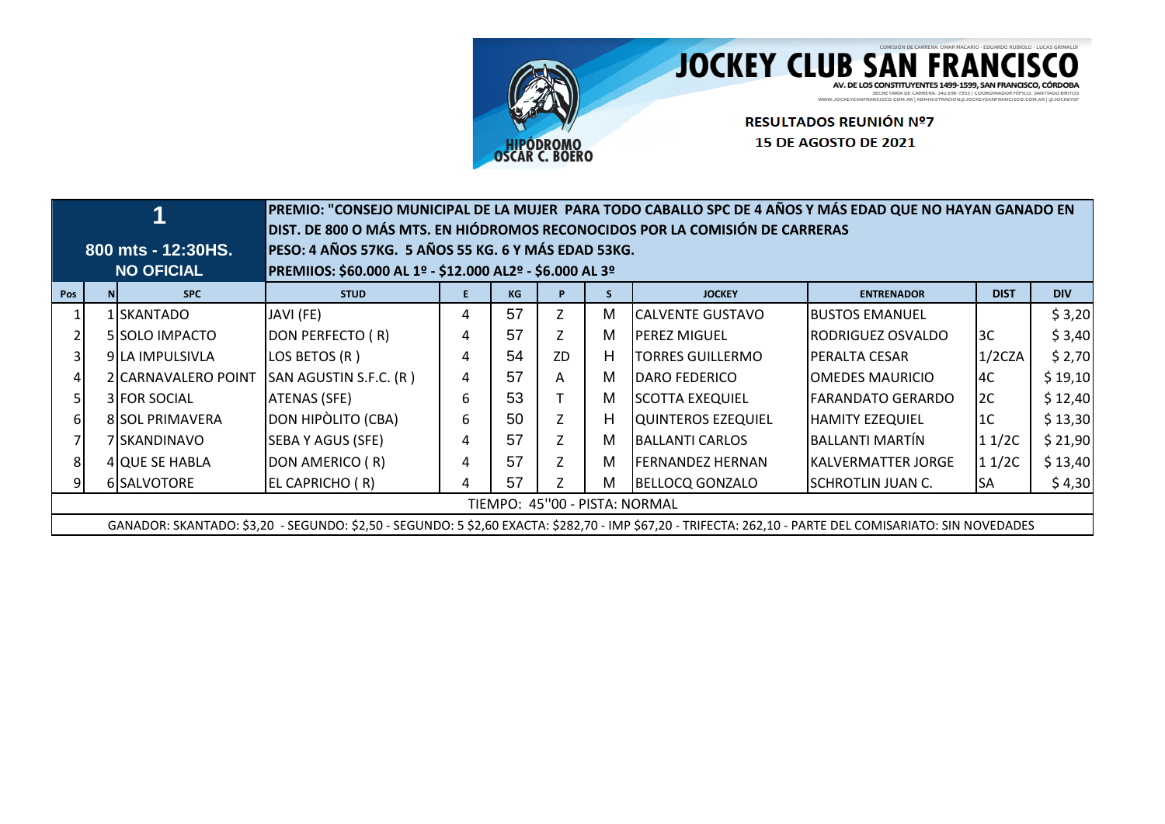

## JOCKEY CLUB SAN FRANCISCO

AV. DE LOS CONSTITUYENTES 1499-1599, SAN FRANCISCO, CÓRDOBA<br>
WWW.JOCKEYSANFRANCISCO.COM ARI ADMINISTRACION@JORNELLOS.COMTANDO BRITOS.<br>
WWW.JOCKEYSANFRANCISCO.COM ARI ADMINISTRACION@JOCKEYSANFRANCISCO.COMARI @JOCKEYSF

RESULTADOS REUNIÓN Nº7 **15 DE AGOSTO DE 2021** 

|     |                               |                     |                                                                                                                                                          |   |    |                |    | PREMIO: "CONSEJO MUNICIPAL DE LA MUJER PARA TODO CABALLO SPC DE 4 AÑOS Y MÁS EDAD QUE NO HAYAN GANADO EN |                             |             |            |  |
|-----|-------------------------------|---------------------|----------------------------------------------------------------------------------------------------------------------------------------------------------|---|----|----------------|----|----------------------------------------------------------------------------------------------------------|-----------------------------|-------------|------------|--|
|     |                               |                     | DIST. DE 800 O MÁS MTS. EN HIÓDROMOS RECONOCIDOS POR LA COMISIÓN DE CARRERAS                                                                             |   |    |                |    |                                                                                                          |                             |             |            |  |
|     |                               | 800 mts - 12:30HS.  | PESO: 4 AÑOS 57KG. 5 AÑOS 55 KG. 6 Y MÁS EDAD 53KG.                                                                                                      |   |    |                |    |                                                                                                          |                             |             |            |  |
|     |                               | <b>NO OFICIAL</b>   | PREMIIOS: \$60.000 AL 1º - \$12.000 AL2º - \$6.000 AL 3º                                                                                                 |   |    |                |    |                                                                                                          |                             |             |            |  |
| Pos |                               | <b>SPC</b>          | <b>STUD</b>                                                                                                                                              |   | KG |                |    | <b>JOCKEY</b>                                                                                            | <b>ENTRENADOR</b>           | <b>DIST</b> | <b>DIV</b> |  |
|     |                               | 1 ISKANTADO         | JAVI (FE)                                                                                                                                                | 4 | 57 | Z              | м  | <b>CALVENTE GUSTAVO</b>                                                                                  | <b>I</b> BUSTOS EMANUEL     |             | \$3,20     |  |
|     |                               | 5 SOLO IMPACTO      | DON PERFECTO (R)                                                                                                                                         | 4 | 57 | Z              | м  | IPEREZ MIGUEL                                                                                            | RODRIGUEZ OSVALDO           | 3C          | \$3,40     |  |
|     |                               | 9 ILA IMPULSIVLA    | LOS BETOS (R)                                                                                                                                            | 4 | 54 | ZD.            | H. | <b>TORRES GUILLERMO</b>                                                                                  | IPERALTA CESAR              | 1/2CZA      | \$2,70     |  |
|     |                               | 2 CARNAVALERO POINT | SAN AGUSTIN S.F.C. (R)                                                                                                                                   | 4 | 57 | A              | м  | IDARO FEDERICO                                                                                           | OMEDES MAURICIO             | l4C         | \$19,10    |  |
|     |                               | 3 FOR SOCIAL        | ATENAS (SFE)                                                                                                                                             | 6 | 53 |                | м  | <b>SCOTTA EXEQUIEL</b>                                                                                   | FARANDATO GERARDO           | 2C          | \$12,40    |  |
| 61  |                               | 8 SOL PRIMAVERA     | DON HIPÒLITO (CBA)                                                                                                                                       | 6 | 50 | $\overline{z}$ | H  | QUINTEROS EZEQUIEL                                                                                       | <b>HAMITY EZEQUIEL</b>      | l 1 C       | \$13,30    |  |
|     |                               | 7 SKANDINAVO        | <b>SEBA Y AGUS (SFE)</b>                                                                                                                                 | 4 | 57 | Z              | м  | <b>BALLANTI CARLOS</b>                                                                                   | <b>BALLANTI MARTÍN</b>      | 11/2C       | \$21,90    |  |
| 81  |                               | 4 QUE SE HABLA      | DON AMERICO (R)                                                                                                                                          | 4 | 57 | Z              | м  | <b>FERNANDEZ HERNAN</b>                                                                                  | <b>I</b> KALVERMATTER JORGE | 11/2C       | \$13,40    |  |
|     |                               | 6 SALVOTORE         | EL CAPRICHO (R)                                                                                                                                          | 4 | 57 |                | м  | BELLOCQ GONZALO                                                                                          | ISCHROTLIN JUAN C.          | <b>SA</b>   | \$4,30     |  |
|     | TIEMPO: 45"00 - PISTA: NORMAL |                     |                                                                                                                                                          |   |    |                |    |                                                                                                          |                             |             |            |  |
|     |                               |                     | GANADOR: SKANTADO: \$3,20 - SEGUNDO: \$2,50 - SEGUNDO: 5 \$2,60 EXACTA: \$282,70 - IMP \$67,20 - TRIFECTA: 262,10 - PARTE DEL COMISARIATO: SIN NOVEDADES |   |    |                |    |                                                                                                          |                             |             |            |  |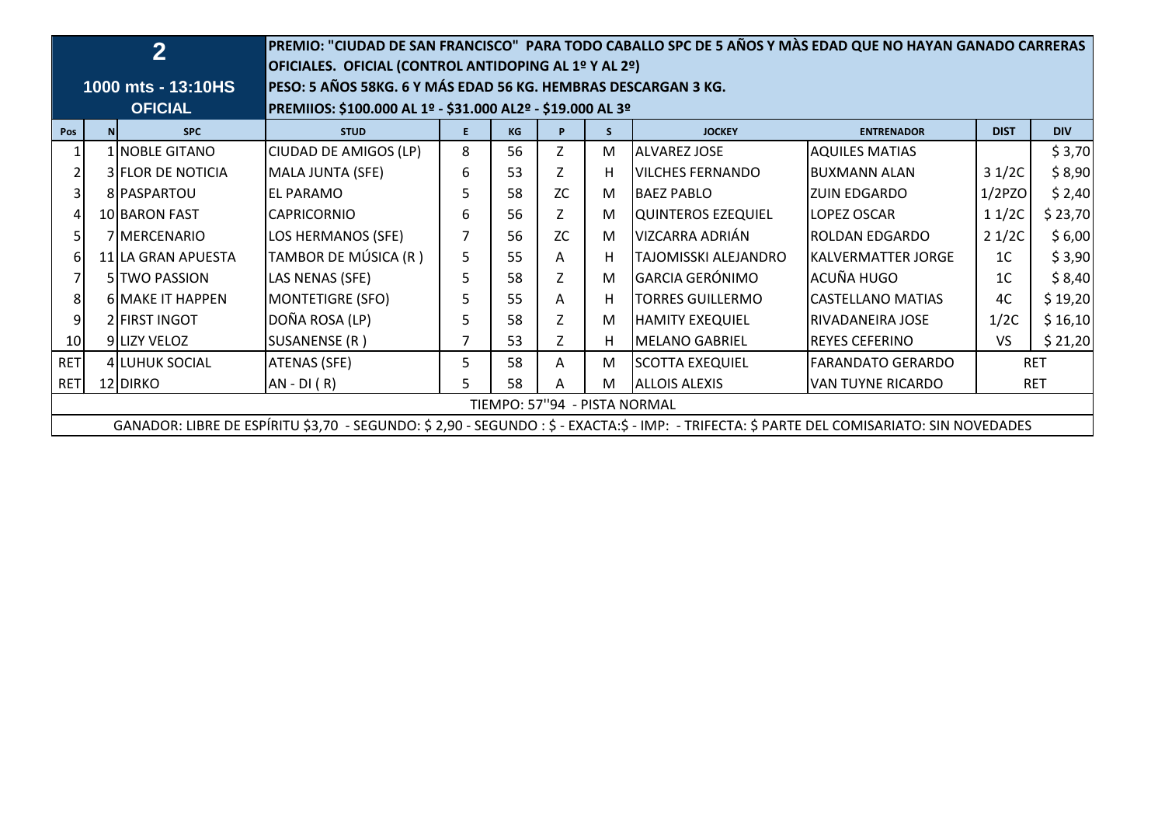|                |                              | $\overline{2}$          | PREMIO: "CIUDAD DE SAN FRANCISCO" PARA TODO CABALLO SPC DE 5 AÑOS Y MÀS EDAD QUE NO HAYAN GANADO CARRERAS<br>OFICIALES. OFICIAL (CONTROL ANTIDOPING AL 1º Y AL 2º) |    |    |           |    |                         |                            |                |            |  |  |
|----------------|------------------------------|-------------------------|--------------------------------------------------------------------------------------------------------------------------------------------------------------------|----|----|-----------|----|-------------------------|----------------------------|----------------|------------|--|--|
|                |                              | 1000 mts - 13:10HS      | PESO: 5 AÑOS 58KG. 6 Y MÁS EDAD 56 KG. HEMBRAS DESCARGAN 3 KG.                                                                                                     |    |    |           |    |                         |                            |                |            |  |  |
|                |                              | <b>OFICIAL</b>          | PREMIIOS: \$100.000 AL 1º - \$31.000 AL2º - \$19.000 AL 3º                                                                                                         |    |    |           |    |                         |                            |                |            |  |  |
| Pos            | N                            | <b>SPC</b>              | <b>STUD</b>                                                                                                                                                        | F. | KG | P         | S. | <b>JOCKEY</b>           | <b>ENTRENADOR</b>          | <b>DIST</b>    | <b>DIV</b> |  |  |
|                |                              | 1 NOBLE GITANO          | CIUDAD DE AMIGOS (LP)                                                                                                                                              | 8  | 56 | Z         | M  | <b>ALVAREZ JOSE</b>     | <b>AQUILES MATIAS</b>      |                | \$3,70     |  |  |
|                |                              | 3 FLOR DE NOTICIA       | MALA JUNTA (SFE)                                                                                                                                                   | 6  | 53 | Z         | H  | <b>VILCHES FERNANDO</b> | IBUXMANN ALAN              | 31/2C          | \$8,90     |  |  |
| 31             | 8   PASPARTOU                |                         | <b>EL PARAMO</b>                                                                                                                                                   | 5  | 58 | ZC        | M  | <b>BAEZ PABLO</b>       | <b>ZUIN EDGARDO</b>        | $1/2$ PZO      | \$2,40     |  |  |
|                | 10 BARON FAST                |                         | <b>CAPRICORNIO</b>                                                                                                                                                 | 6  | 56 | Z         | M  | QUINTEROS EZEQUIEL      | LOPEZ OSCAR                | 11/2C          | \$23,70    |  |  |
| 51             |                              | 7 MERCENARIO            | LOS HERMANOS (SFE)                                                                                                                                                 |    | 56 | <b>ZC</b> | M  | VIZCARRA ADRIÁN         | ROLDAN EDGARDO             | 21/2C          | \$6,00     |  |  |
|                |                              | 11 LA GRAN APUESTA      | TAMBOR DE MÚSICA (R)                                                                                                                                               | 5  | 55 | A         | н  | TAJOMISSKI ALEJANDRO    | <b>IKALVERMATTER JORGE</b> | 1 <sup>C</sup> | \$3,90     |  |  |
|                |                              | 5 TWO PASSION           | LAS NENAS (SFE)                                                                                                                                                    | 5  | 58 | Z         | M  | <b>GARCIA GERÓNIMO</b>  | lacuña hugo                | 1 <sup>C</sup> | \$8,40     |  |  |
| 8              |                              | <b>6 MAKE IT HAPPEN</b> | MONTETIGRE (SFO)                                                                                                                                                   | 5  | 55 | Α         | н  | <b>TORRES GUILLERMO</b> | CASTELLANO MATIAS          | 4C             | \$19,20    |  |  |
| $\overline{9}$ |                              | 2 FIRST INGOT           | DOÑA ROSA (LP)                                                                                                                                                     | 5  | 58 | Ζ         | M  | <b>HAMITY EXEQUIEL</b>  | RIVADANEIRA JOSE           | 1/2C           | \$16,10    |  |  |
| 10             |                              | 9 LIZY VELOZ            | SUSANENSE (R)                                                                                                                                                      | 7  | 53 | Z         | H  | MELANO GABRIEL          | REYES CEFERINO             | VS             | \$21,20    |  |  |
| <b>RET</b>     |                              | 4 LUHUK SOCIAL          | <b>ATENAS (SFE)</b>                                                                                                                                                | 5  | 58 | A         | м  | <b>SCOTTA EXEQUIEL</b>  | FARANDATO GERARDO          |                | <b>RET</b> |  |  |
| <b>RET</b>     |                              | 12 DIRKO                | $AN - DI(R)$                                                                                                                                                       | 5  | 58 | Α         | M  | <b>ALLOIS ALEXIS</b>    | <b>VAN TUYNE RICARDO</b>   |                | <b>RET</b> |  |  |
|                | TIEMPO: 57"94 - PISTA NORMAL |                         |                                                                                                                                                                    |    |    |           |    |                         |                            |                |            |  |  |
|                |                              |                         | GANADOR: LIBRE DE ESPÍRITU \$3,70 - SEGUNDO: \$ 2,90 - SEGUNDO: \$ - EXACTA:\$ - IMP: - TRIFECTA: \$ PARTE DEL COMISARIATO: SIN NOVEDADES                          |    |    |           |    |                         |                            |                |            |  |  |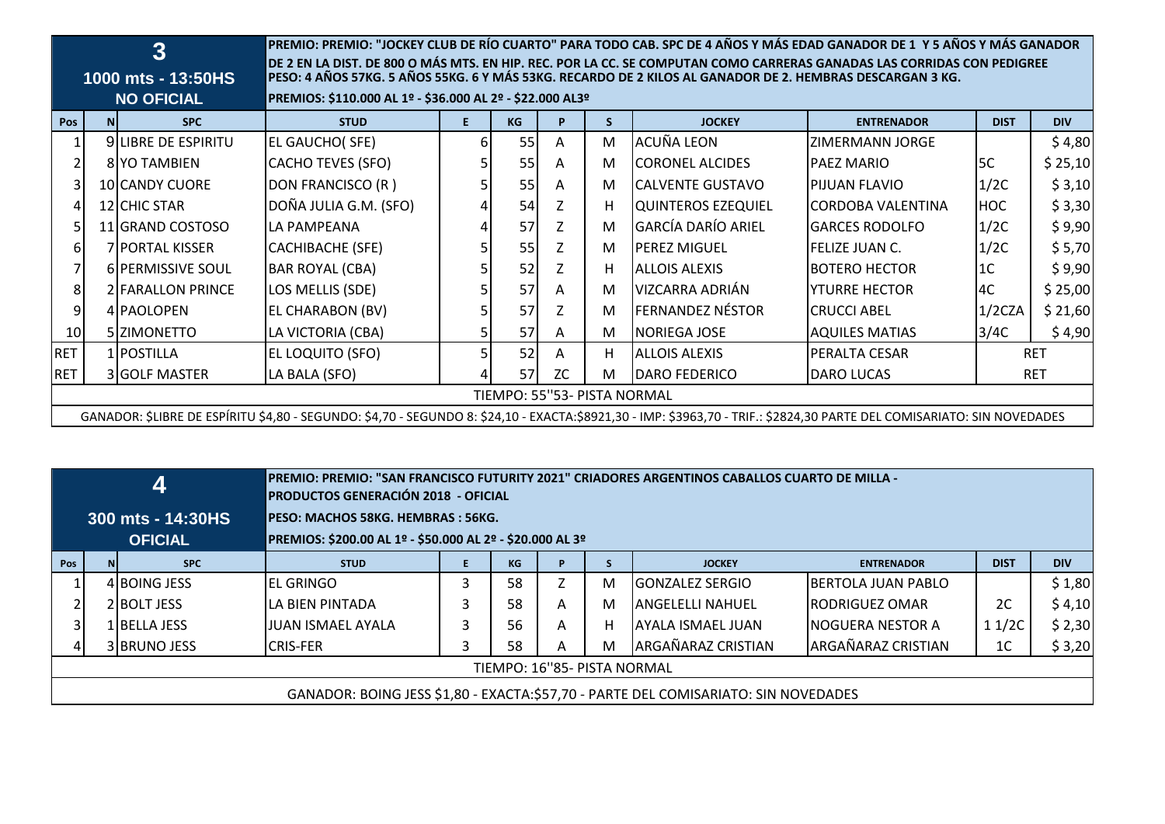|            |                             | 3<br>1000 mts - 13:50HS<br><b>NO OFICIAL</b> | PREMIO: PREMIO: "JOCKEY CLUB DE RÍO CUARTO" PARA TODO CAB. SPC DE 4 AÑOS Y MÁS EDAD GANADOR DE 1 Y 5 AÑOS Y MÁS GANADOR<br>DE 2 EN LA DIST. DE 800 O MÁS MTS. EN HIP. REC. POR LA CC. SE COMPUTAN COMO CARRERAS GANADAS LAS CORRIDAS CON PEDIGREE<br>PESO: 4 AÑOS 57KG. 5 AÑOS 55KG. 6 Y MÁS 53KG. RECARDO DE 2 KILOS AL GANADOR DE 2. HEMBRAS DESCARGAN 3 KG.<br>PREMIOS: \$110.000 AL 1º - \$36.000 AL 2º - \$22.000 AL3º |    |           |    |    |                           |                       |                |            |  |  |
|------------|-----------------------------|----------------------------------------------|-----------------------------------------------------------------------------------------------------------------------------------------------------------------------------------------------------------------------------------------------------------------------------------------------------------------------------------------------------------------------------------------------------------------------------|----|-----------|----|----|---------------------------|-----------------------|----------------|------------|--|--|
| Pos        | <b>NI</b>                   | <b>SPC</b>                                   | <b>STUD</b>                                                                                                                                                                                                                                                                                                                                                                                                                 | E. | <b>KG</b> | P  | S. | <b>JOCKEY</b>             | <b>ENTRENADOR</b>     | <b>DIST</b>    | <b>DIV</b> |  |  |
|            |                             | <b>9ILIBRE DE ESPIRITU</b>                   | <b>EL GAUCHO(SFE)</b>                                                                                                                                                                                                                                                                                                                                                                                                       | 6  | 55        | Α  | м  | LACUÑA LEON               | IZIMERMANN JORGE      |                | \$4,80     |  |  |
|            |                             | 8 YO TAMBIEN                                 | CACHO TEVES (SFO)                                                                                                                                                                                                                                                                                                                                                                                                           |    | 55        | A  | M  | <b>ICORONEL ALCIDES</b>   | <b>PAEZ MARIO</b>     | 5C             | \$25,10    |  |  |
|            |                             | 10 CANDY CUORE                               | DON FRANCISCO (R)                                                                                                                                                                                                                                                                                                                                                                                                           |    | 55        | A  | M  | <b>CALVENTE GUSTAVO</b>   | <b>IPIJUAN FLAVIO</b> | 1/2C           | \$3,10     |  |  |
|            |                             | 12 CHIC STAR                                 | DOÑA JULIA G.M. (SFO)                                                                                                                                                                                                                                                                                                                                                                                                       |    | 54        |    | H. | QUINTEROS EZEQUIEL        | CORDOBA VALENTINA     | <b>HOC</b>     | \$3,30     |  |  |
|            |                             | 11 GRAND COSTOSO                             | LA PAMPEANA                                                                                                                                                                                                                                                                                                                                                                                                                 |    | 57        |    | M  | <b>GARCÍA DARÍO ARIEL</b> | <b>GARCES RODOLFO</b> | 1/2C           | \$9,90     |  |  |
| 61         |                             | <b>7IPORTAL KISSER</b>                       | CACHIBACHE (SFE)                                                                                                                                                                                                                                                                                                                                                                                                            |    | 55        | Z  | M  | <b>IPEREZ MIGUEL</b>      | lfelize JUAN C.       | 1/2C           | \$5,70     |  |  |
|            |                             | 6 PERMISSIVE SOUL                            | <b>BAR ROYAL (CBA)</b>                                                                                                                                                                                                                                                                                                                                                                                                      |    | 52        |    | H. | <b>ALLOIS ALEXIS</b>      | <b>BOTERO HECTOR</b>  | 1 <sup>C</sup> | \$9,90     |  |  |
| 8          |                             | 2 FARALLON PRINCE                            | LOS MELLIS (SDE)                                                                                                                                                                                                                                                                                                                                                                                                            |    | 57        | A  | м  | VIZCARRA ADRIÁN           | IYTURRE HECTOR        | 4C             | \$25,00    |  |  |
|            |                             | 4 PAOLOPEN                                   | EL CHARABON (BV)                                                                                                                                                                                                                                                                                                                                                                                                            |    | 57        | Z  | M  | <b>FERNANDEZ NÉSTOR</b>   | <b>ICRUCCI ABEL</b>   | 1/2CZA         | \$21,60    |  |  |
| 10         |                             | 5 ZIMONETTO                                  | LA VICTORIA (CBA)                                                                                                                                                                                                                                                                                                                                                                                                           | 5  | 57        | A  | M  | <b>NORIEGA JOSE</b>       | <b>AQUILES MATIAS</b> | 3/4C           | \$4,90     |  |  |
| <b>RET</b> |                             | 1 POSTILLA                                   | <b>EL LOQUITO (SFO)</b>                                                                                                                                                                                                                                                                                                                                                                                                     |    | 52        | Α  | H. | IALLOIS ALEXIS            | IPERALTA CESAR        |                | <b>RET</b> |  |  |
| <b>RET</b> |                             | 3 GOLF MASTER                                | LA BALA (SFO)                                                                                                                                                                                                                                                                                                                                                                                                               |    | 57        | ZC | M  | <b>DARO FEDERICO</b>      | <b>DARO LUCAS</b>     |                | <b>RET</b> |  |  |
|            | TIEMPO: 55"53- PISTA NORMAL |                                              |                                                                                                                                                                                                                                                                                                                                                                                                                             |    |           |    |    |                           |                       |                |            |  |  |
|            |                             |                                              | GANADOR: \$LIBRE DE ESPÍRITU \$4,80 - SEGUNDO: \$4,70 - SEGUNDO 8: \$24,10 - EXACTA:\$8921,30 - IMP: \$3963,70 - TRIF.: \$2824,30 PARTE DEL COMISARIATO: SIN NOVEDADES                                                                                                                                                                                                                                                      |    |           |    |    |                           |                       |                |            |  |  |

|     |                                                                                    | 41                           | - PREMIO: PREMIO: "SAN FRANCISCO FUTURITY 2021" CRIADORES ARGENTINOS CABALLOS CUARTO DE MILLA<br><b>PRODUCTOS GENERACIÓN 2018 - OFICIAL</b> |   |           |   |   |                          |                            |                |            |  |  |
|-----|------------------------------------------------------------------------------------|------------------------------|---------------------------------------------------------------------------------------------------------------------------------------------|---|-----------|---|---|--------------------------|----------------------------|----------------|------------|--|--|
|     |                                                                                    | 300 mts - 14:30HS            | <b>PESO: MACHOS 58KG. HEMBRAS : 56KG.</b><br>PREMIOS: \$200.00 AL 1º - \$50.000 AL 2º - \$20.000 AL 3º                                      |   |           |   |   |                          |                            |                |            |  |  |
| Pos |                                                                                    | <b>OFICIAL</b><br><b>SPC</b> | <b>STUD</b>                                                                                                                                 |   | <b>KG</b> | P |   | <b>JOCKEY</b>            | <b>ENTRENADOR</b>          | <b>DIST</b>    | <b>DIV</b> |  |  |
|     | 4 BOING JESS                                                                       |                              | IEL GRINGO                                                                                                                                  | 3 | 58        | 7 | M | IGONZALEZ SERGIO         | <b>IBERTOLA JUAN PABLO</b> |                | \$1,80     |  |  |
|     | 2 BOLT JESS                                                                        |                              | <b>ILA BIEN PINTADA</b>                                                                                                                     | 3 | 58        | A | м | <b>ANGELELLI NAHUEL</b>  | <b>IRODRIGUEZ OMAR</b>     | 2C             | \$4,10     |  |  |
|     |                                                                                    | 1 BELLA JESS                 | lJUAN ISMAEL AYALA                                                                                                                          |   | 56        | A | н | <b>AYALA ISMAEL JUAN</b> | <b>INOGUERA NESTOR A</b>   | 11/2C          | \$2,30     |  |  |
|     |                                                                                    | 3 BRUNO JESS                 | <b>ICRIS-FER</b>                                                                                                                            |   | 58        | A | м | ARGAÑARAZ CRISTIAN       | ARGAÑARAZ CRISTIAN         | 1 <sup>C</sup> | \$3,20     |  |  |
|     | TIEMPO: 16"85- PISTA NORMAL                                                        |                              |                                                                                                                                             |   |           |   |   |                          |                            |                |            |  |  |
|     | GANADOR: BOING JESS \$1,80 - EXACTA:\$57,70 - PARTE DEL COMISARIATO: SIN NOVEDADES |                              |                                                                                                                                             |   |           |   |   |                          |                            |                |            |  |  |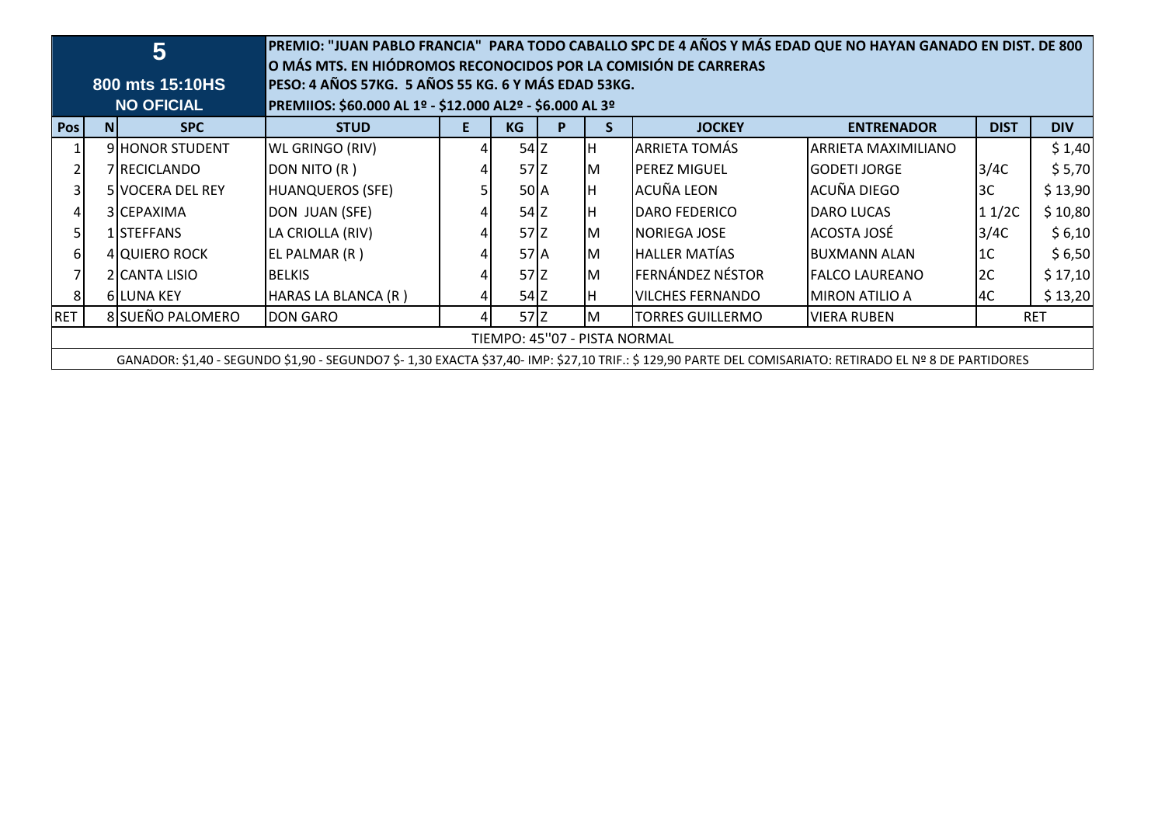|                  |                                                                                                                                                        | 5                                    | PREMIO: "JUAN PABLO FRANCIA" PARA TODO CABALLO SPC DE 4 AÑOS Y MÁS EDAD QUE NO HAYAN GANADO EN DIST. DE 800<br>O MÁS MTS. EN HIÓDROMOS RECONOCIDOS POR LA COMISIÓN DE CARRERAS<br>PESO: 4 AÑOS 57KG. 5 AÑOS 55 KG. 6 Y MÁS EDAD 53KG. |                                                          |                 |   |    |                         |                       |                |            |  |  |
|------------------|--------------------------------------------------------------------------------------------------------------------------------------------------------|--------------------------------------|---------------------------------------------------------------------------------------------------------------------------------------------------------------------------------------------------------------------------------------|----------------------------------------------------------|-----------------|---|----|-------------------------|-----------------------|----------------|------------|--|--|
|                  |                                                                                                                                                        | 800 mts 15:10HS<br><b>NO OFICIAL</b> |                                                                                                                                                                                                                                       | PREMIIOS: \$60.000 AL 1º - \$12.000 AL2º - \$6.000 AL 3º |                 |   |    |                         |                       |                |            |  |  |
| Pos <sup>1</sup> | N <sub>1</sub>                                                                                                                                         | <b>SPC</b>                           | <b>STUD</b>                                                                                                                                                                                                                           | E.                                                       | <b>KG</b>       | P |    | <b>JOCKEY</b>           | <b>ENTRENADOR</b>     | <b>DIST</b>    | <b>DIV</b> |  |  |
|                  |                                                                                                                                                        | 9 HONOR STUDENT                      | <b>WL GRINGO (RIV)</b>                                                                                                                                                                                                                |                                                          | $54$ Z          |   |    | <b>ARRIETA TOMÁS</b>    | ARRIETA MAXIMILIANO   |                | \$1,40     |  |  |
| $\overline{2}$   |                                                                                                                                                        | 7 RECICLANDO                         | DON NITO (R)                                                                                                                                                                                                                          |                                                          | $57$ $Z$        |   | Iм | <b>PEREZ MIGUEL</b>     | IGODETI JORGE         | 3/4C           | \$5,70     |  |  |
| $\overline{3}$   |                                                                                                                                                        | <b>5 VOCERA DEL REY</b>              | <b>HUANQUEROS (SFE)</b>                                                                                                                                                                                                               |                                                          | 50 <sub>A</sub> |   |    | ACUÑA LEON              | ACUÑA DIEGO           | 3C             | \$13,90    |  |  |
| 4                | 3 CEPAXIMA                                                                                                                                             |                                      | DON JUAN (SFE)                                                                                                                                                                                                                        |                                                          | $54$ Z          |   | IΗ | <b>DARO FEDERICO</b>    | <b>DARO LUCAS</b>     | 11/2C          | \$10,80    |  |  |
| 5 <sub>l</sub>   |                                                                                                                                                        | 1 STEFFANS                           | LA CRIOLLA (RIV)                                                                                                                                                                                                                      |                                                          | $57$ $Z$        |   | Iм | <b>NORIEGA JOSE</b>     | ACOSTA JOSÉ           | 3/4C           | \$6,10     |  |  |
| $6 \mid$         |                                                                                                                                                        | 4 QUIERO ROCK                        | EL PALMAR (R)                                                                                                                                                                                                                         |                                                          | 57 A            |   | ıм | lhaller Matías          | IBUXMANN ALAN         | 1 <sup>C</sup> | \$6,50     |  |  |
| $\overline{7}$   |                                                                                                                                                        | 2 CANTA LISIO                        | BELKIS                                                                                                                                                                                                                                |                                                          | $57$ $Z$        |   | Iм | <b>FERNÁNDEZ NÉSTOR</b> | <b>FALCO LAUREANO</b> | 2C             | \$17,10    |  |  |
| 8                |                                                                                                                                                        | <b>6ILUNA KEY</b>                    | HARAS LA BLANCA (R)                                                                                                                                                                                                                   |                                                          | $54$ Z          |   |    | <b>VILCHES FERNANDO</b> | IMIRON ATILIO A       | l4C            | \$13,20    |  |  |
| <b>RET</b>       | 8 SUEÑO PALOMERO<br>$57$ $Z$<br><b>DON GARO</b><br>TORRES GUILLERMO<br><b>VIERA RUBEN</b><br><b>RET</b><br>IΜ                                          |                                      |                                                                                                                                                                                                                                       |                                                          |                 |   |    |                         |                       |                |            |  |  |
|                  | TIEMPO: 45"07 - PISTA NORMAL                                                                                                                           |                                      |                                                                                                                                                                                                                                       |                                                          |                 |   |    |                         |                       |                |            |  |  |
|                  | GANADOR: \$1,40 - SEGUNDO \$1,90 - SEGUNDO7 \$-1,30 EXACTA \$37,40- IMP: \$27,10 TRIF.: \$129,90 PARTE DEL COMISARIATO: RETIRADO EL Nº 8 DE PARTIDORES |                                      |                                                                                                                                                                                                                                       |                                                          |                 |   |    |                         |                       |                |            |  |  |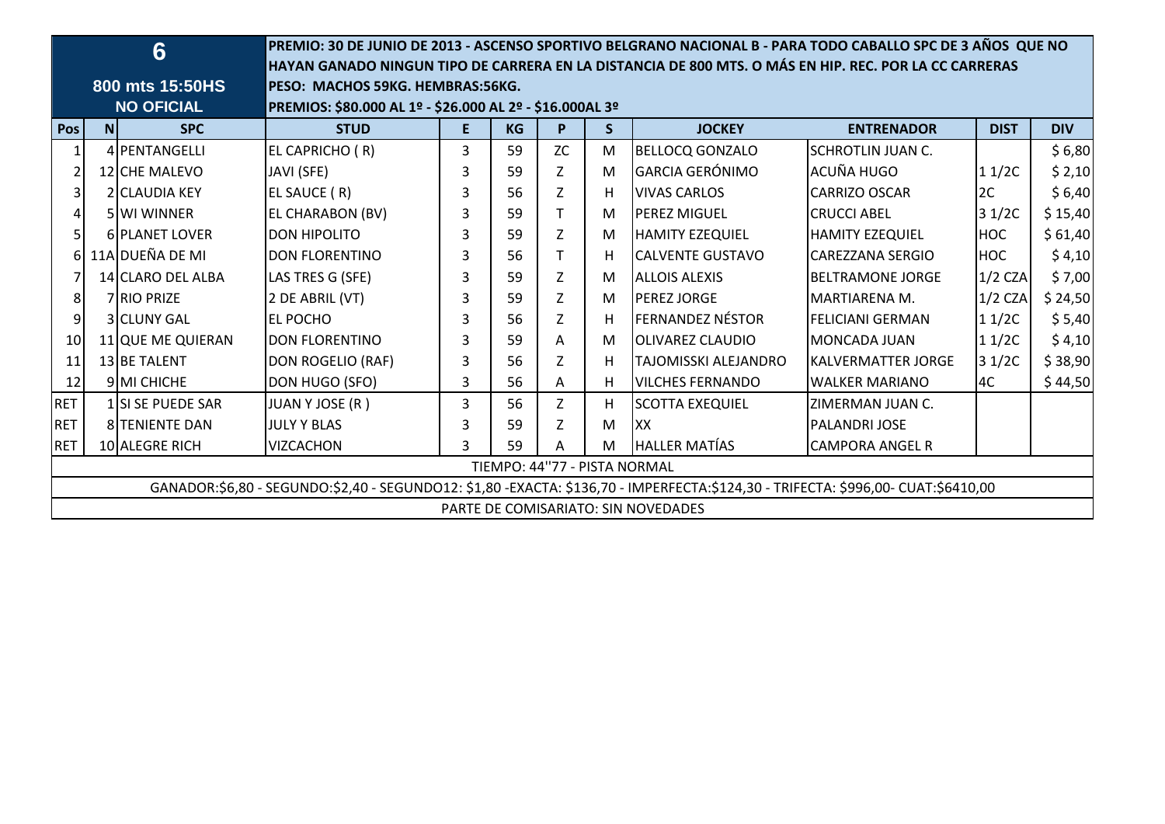|                 |                                                                                                                                  | 6                 |                                                          |    |           |             |   | PREMIO: 30 DE JUNIO DE 2013 - ASCENSO SPORTIVO BELGRANO NACIONAL B - PARA TODO CABALLO SPC DE 3 AÑOS QUE NO<br>HAYAN GANADO NINGUN TIPO DE CARRERA EN LA DISTANCIA DE 800 MTS. O MÁS EN HIP. REC. POR LA CC CARRERAS |                          |             |            |  |  |
|-----------------|----------------------------------------------------------------------------------------------------------------------------------|-------------------|----------------------------------------------------------|----|-----------|-------------|---|----------------------------------------------------------------------------------------------------------------------------------------------------------------------------------------------------------------------|--------------------------|-------------|------------|--|--|
|                 |                                                                                                                                  | 800 mts 15:50HS   | PESO: MACHOS 59KG. HEMBRAS:56KG.                         |    |           |             |   |                                                                                                                                                                                                                      |                          |             |            |  |  |
|                 |                                                                                                                                  | <b>NO OFICIAL</b> | PREMIOS: \$80.000 AL 1º - \$26.000 AL 2º - \$16.000AL 3º |    |           |             |   |                                                                                                                                                                                                                      |                          |             |            |  |  |
| Pos             | N                                                                                                                                | <b>SPC</b>        | <b>STUD</b>                                              | E. | <b>KG</b> | P           | S | <b>JOCKEY</b>                                                                                                                                                                                                        | <b>ENTRENADOR</b>        | <b>DIST</b> | <b>DIV</b> |  |  |
|                 |                                                                                                                                  | 4 PENTANGELLI     | EL CAPRICHO (R)                                          | 3  | 59        | <b>ZC</b>   | M | <b>BELLOCQ GONZALO</b>                                                                                                                                                                                               | <b>SCHROTLIN JUAN C.</b> |             | \$6,80     |  |  |
|                 |                                                                                                                                  | 12 CHE MALEVO     | JAVI (SFE)                                               | 3  | 59        | Z           | M | <b>GARCIA GERÓNIMO</b>                                                                                                                                                                                               | ACUÑA HUGO               | 11/2C       | \$2,10     |  |  |
| 3               |                                                                                                                                  | 2 CLAUDIA KEY     | EL SAUCE (R)                                             | 3  | 56        | Z           | H | <b>VIVAS CARLOS</b>                                                                                                                                                                                                  | <b>CARRIZO OSCAR</b>     | 2C          | \$6,40     |  |  |
| 4               |                                                                                                                                  | 5 WI WINNER       | <b>EL CHARABON (BV)</b>                                  | 3  | 59        | T           | м | <b>PEREZ MIGUEL</b>                                                                                                                                                                                                  | <b>CRUCCI ABEL</b>       | 31/2C       | \$15,40    |  |  |
| 5               |                                                                                                                                  | 6 PLANET LOVER    | <b>DON HIPOLITO</b>                                      | 3  | 59        | Z           | M | <b>HAMITY EZEQUIEL</b>                                                                                                                                                                                               | <b>HAMITY EZEQUIEL</b>   | <b>HOC</b>  | \$61,40    |  |  |
| 61              |                                                                                                                                  | 11A DUEÑA DE MI   | <b>DON FLORENTINO</b>                                    | 3  | 56        | T           | н | <b>CALVENTE GUSTAVO</b>                                                                                                                                                                                              | <b>CAREZZANA SERGIO</b>  | <b>HOC</b>  | \$4,10     |  |  |
|                 |                                                                                                                                  | 14 CLARO DEL ALBA | LAS TRES G (SFE)                                         | 3  | 59        | Z           | M | <b>ALLOIS ALEXIS</b>                                                                                                                                                                                                 | <b>BELTRAMONE JORGE</b>  | $1/2$ CZA   | \$7,00     |  |  |
| 8               |                                                                                                                                  | 7 RIO PRIZE       | 2 DE ABRIL (VT)                                          | 3  | 59        | $\mathsf Z$ | м | <b>PEREZ JORGE</b>                                                                                                                                                                                                   | MARTIARENA M.            | $1/2$ CZA   | \$24,50    |  |  |
| $\overline{9}$  |                                                                                                                                  | 3 CLUNY GAL       | <b>EL POCHO</b>                                          | 3  | 56        | Z           | н | <b>FERNANDEZ NÉSTOR</b>                                                                                                                                                                                              | <b>FELICIANI GERMAN</b>  | 11/2C       | \$5,40     |  |  |
| 10 <sup>1</sup> |                                                                                                                                  | 11 QUE ME QUIERAN | IDON FLORENTINO                                          | 3  | 59        | A           | M | <b>OLIVAREZ CLAUDIO</b>                                                                                                                                                                                              | <b>MONCADA JUAN</b>      | 11/2C       | \$4,10     |  |  |
| 11              |                                                                                                                                  | 13 BE TALENT      | DON ROGELIO (RAF)                                        | 3  | 56        | Z           | H | TAJOMISSKI ALEJANDRO                                                                                                                                                                                                 | IKALVERMATTER JORGE      | 31/2C       | \$38,90    |  |  |
| 12              |                                                                                                                                  | 9 MI CHICHE       | DON HUGO (SFO)                                           | 3  | 56        | A           | H | <b>VILCHES FERNANDO</b>                                                                                                                                                                                              | <b>WALKER MARIANO</b>    | 4C          | \$44,50    |  |  |
| <b>RET</b>      |                                                                                                                                  | 1 SI SE PUEDE SAR | JUAN Y JOSE (R)                                          | 3  | 56        | Z           | H | <b>SCOTTA EXEQUIEL</b>                                                                                                                                                                                               | ZIMERMAN JUAN C.         |             |            |  |  |
| <b>RET</b>      |                                                                                                                                  | 8 TENIENTE DAN    | <b>JULY Y BLAS</b>                                       | 3  | 59        | Z           | M | lxx                                                                                                                                                                                                                  | <b>PALANDRI JOSE</b>     |             |            |  |  |
| <b>RET</b>      |                                                                                                                                  | 10 ALEGRE RICH    | <b>VIZCACHON</b>                                         | 3  | 59        | Α           | M | <b>HALLER MATÍAS</b>                                                                                                                                                                                                 | <b>CAMPORA ANGEL R</b>   |             |            |  |  |
|                 | TIEMPO: 44"77 - PISTA NORMAL                                                                                                     |                   |                                                          |    |           |             |   |                                                                                                                                                                                                                      |                          |             |            |  |  |
|                 | GANADOR:\$6,80 - SEGUNDO:\$2,40 - SEGUNDO12: \$1,80 -EXACTA: \$136,70 - IMPERFECTA:\$124,30 - TRIFECTA: \$996,00- CUAT:\$6410,00 |                   |                                                          |    |           |             |   |                                                                                                                                                                                                                      |                          |             |            |  |  |
|                 |                                                                                                                                  |                   |                                                          |    |           |             |   | PARTE DE COMISARIATO: SIN NOVEDADES                                                                                                                                                                                  |                          |             |            |  |  |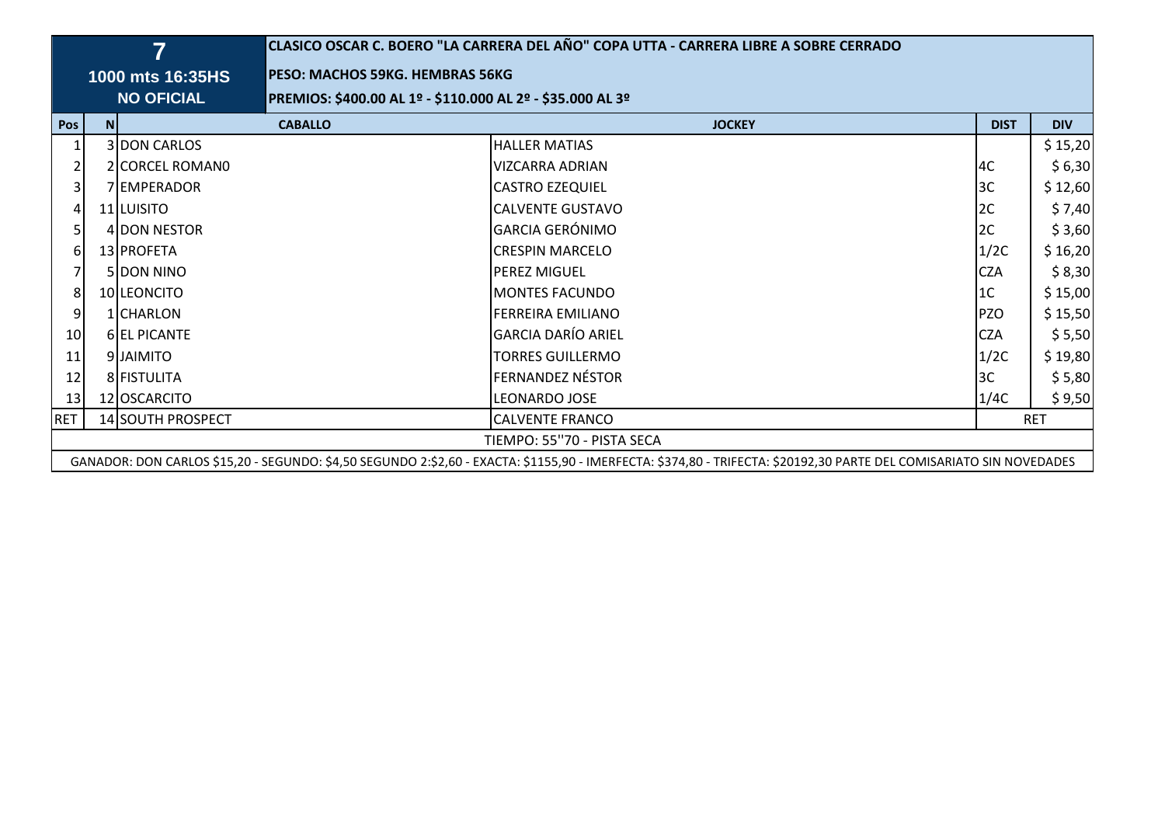|            |                                                           | $\overline{7}$      | CLASICO OSCAR C. BOERO "LA CARRERA DEL AÑO" COPA UTTA - CARRERA LIBRE A SOBRE CERRADO |                                                                                                                                                                     |                |            |  |  |  |  |  |  |  |
|------------|-----------------------------------------------------------|---------------------|---------------------------------------------------------------------------------------|---------------------------------------------------------------------------------------------------------------------------------------------------------------------|----------------|------------|--|--|--|--|--|--|--|
|            |                                                           | 1000 mts 16:35HS    | PESO: MACHOS 59KG. HEMBRAS 56KG                                                       |                                                                                                                                                                     |                |            |  |  |  |  |  |  |  |
|            |                                                           | <b>NO OFICIAL</b>   | PREMIOS: \$400.00 AL 1º - \$110.000 AL 2º - \$35.000 AL 3º                            |                                                                                                                                                                     |                |            |  |  |  |  |  |  |  |
| <b>Pos</b> | <b>N</b>                                                  |                     | <b>CABALLO</b>                                                                        | <b>JOCKEY</b>                                                                                                                                                       | <b>DIST</b>    | <b>DIV</b> |  |  |  |  |  |  |  |
|            |                                                           | 3 DON CARLOS        |                                                                                       | <b>HALLER MATIAS</b>                                                                                                                                                |                | \$15,20    |  |  |  |  |  |  |  |
|            |                                                           | 2 CORCEL ROMANO     |                                                                                       | <b>VIZCARRA ADRIAN</b>                                                                                                                                              | 4C             | \$ 6,30    |  |  |  |  |  |  |  |
| 31         |                                                           | 7 EMPERADOR         |                                                                                       | <b>CASTRO EZEQUIEL</b>                                                                                                                                              | 3C             | \$12,60    |  |  |  |  |  |  |  |
|            |                                                           | 11 LUISITO          |                                                                                       | <b>CALVENTE GUSTAVO</b>                                                                                                                                             | 2C             | \$ 7,40    |  |  |  |  |  |  |  |
|            |                                                           | 4 DON NESTOR        |                                                                                       | <b>GARCIA GERÓNIMO</b>                                                                                                                                              | 2C             | \$3,60     |  |  |  |  |  |  |  |
|            |                                                           | 13 PROFETA          |                                                                                       | <b>CRESPIN MARCELO</b>                                                                                                                                              | 1/2C           | \$16,20    |  |  |  |  |  |  |  |
|            |                                                           | <b>5IDON NINO</b>   |                                                                                       | <b>PEREZ MIGUEL</b>                                                                                                                                                 | <b>CZA</b>     | \$ 8,30    |  |  |  |  |  |  |  |
|            |                                                           | 10 LEONCITO         |                                                                                       | <b>MONTES FACUNDO</b>                                                                                                                                               | 1 <sup>C</sup> | \$15,00    |  |  |  |  |  |  |  |
| 9          |                                                           | 1 CHARLON           |                                                                                       | <b>FERREIRA EMILIANO</b>                                                                                                                                            | <b>PZO</b>     | \$15,50    |  |  |  |  |  |  |  |
| 10         |                                                           | <b>6 EL PICANTE</b> |                                                                                       | <b>GARCIA DARÍO ARIEL</b>                                                                                                                                           | <b>CZA</b>     | \$ 5,50    |  |  |  |  |  |  |  |
| 11         |                                                           | 9 JAIMITO           |                                                                                       | <b>TORRES GUILLERMO</b>                                                                                                                                             | 1/2C           | \$19,80    |  |  |  |  |  |  |  |
| 12         |                                                           | 8 FISTULITA         |                                                                                       | <b>FERNANDEZ NÉSTOR</b>                                                                                                                                             | 3C             | \$ 5,80    |  |  |  |  |  |  |  |
| 13         |                                                           | 12 OSCARCITO        |                                                                                       | LEONARDO JOSE                                                                                                                                                       | 1/4C           | \$9,50     |  |  |  |  |  |  |  |
| <b>RET</b> | 14 SOUTH PROSPECT<br><b>CALVENTE FRANCO</b><br><b>RET</b> |                     |                                                                                       |                                                                                                                                                                     |                |            |  |  |  |  |  |  |  |
|            | TIEMPO: 55"70 - PISTA SECA                                |                     |                                                                                       |                                                                                                                                                                     |                |            |  |  |  |  |  |  |  |
|            |                                                           |                     |                                                                                       | GANADOR: DON CARLOS \$15,20 - SEGUNDO: \$4,50 SEGUNDO 2:\$2,60 - EXACTA: \$1155,90 - IMERFECTA: \$374,80 - TRIFECTA: \$20192,30 PARTE DEL COMISARIATO SIN NOVEDADES |                |            |  |  |  |  |  |  |  |